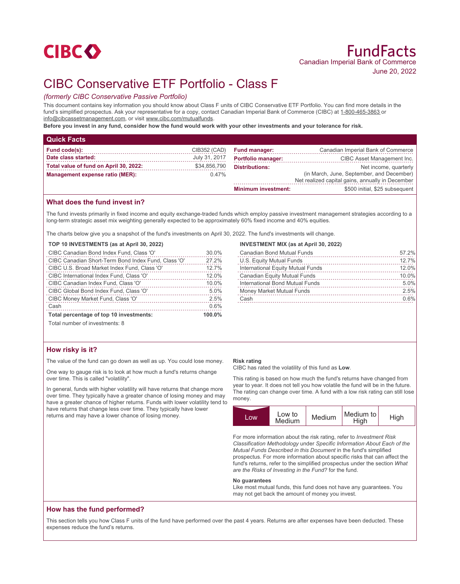# **CIBCO**

# CIBC Conservative ETF Portfolio - Class F

# *(formerly CIBC Conservative Passive Portfolio)*

This document contains key information you should know about Class F units of CIBC Conservative ETF Portfolio. You can find more details in the fund's simplified prospectus. Ask your representative for a copy, contact Canadian Imperial Bank of Commerce (CIBC) at 1-800-465-3863 or info@cibcassetmanagement.com, or visit www.cibc.com/mutualfunds.

**Before you invest in any fund, consider how the fund would work with your other investments and your tolerance for risk.**

| <b>Quick Facts</b>                     |               |                            |                                                                                               |
|----------------------------------------|---------------|----------------------------|-----------------------------------------------------------------------------------------------|
| Fund code(s):                          | CIB352 (CAD)  | <b>Fund manager:</b>       | Canadian Imperial Bank of Commerce                                                            |
| Date class started:                    | July 31, 2017 | <b>Portfolio manager:</b>  | CIBC Asset Management Inc.                                                                    |
| Total value of fund on April 30, 2022: | \$34,856,790  | <b>Distributions:</b>      | Net income, quarterly                                                                         |
| Management expense ratio (MER):        | $0.47\%$      |                            | (in March, June, September, and December)<br>Net realized capital gains, annually in December |
|                                        |               | <b>Minimum investment:</b> | \$500 initial, \$25 subsequent                                                                |

# **What does the fund invest in?**

The fund invests primarily in fixed income and equity exchange-traded funds which employ passive investment management strategies according to a long-term strategic asset mix weighting generally expected to be approximately 60% fixed income and 40% equities.

The charts below give you a snapshot of the fund's investments on April 30, 2022. The fund's investments will change.

### **TOP 10 INVESTMENTS (as at April 30, 2022)**

| CIBC Canadian Short-Term Bond Index Fund, Class 'O'<br>CIBC U.S. Broad Market Index Fund, Class 'O'<br>CIBC International Index Fund, Class 'O'<br>10.0%<br>CIBC Canadian Index Fund, Class 'O' | CIBC Money Market Fund, Class 'O'      | 2.5%  |
|-------------------------------------------------------------------------------------------------------------------------------------------------------------------------------------------------|----------------------------------------|-------|
|                                                                                                                                                                                                 | CIBC Global Bond Index Fund, Class 'O' | 5.0%  |
|                                                                                                                                                                                                 |                                        | 12.0% |
|                                                                                                                                                                                                 |                                        | 12.7% |
|                                                                                                                                                                                                 |                                        | 27.2% |
| CIBC Canadian Bond Index Fund, Class 'O'                                                                                                                                                        |                                        | 30.0% |

### **INVESTMENT MIX (as at April 30, 2022)**

| <b>Canadian Bond Mutual Funds</b> | 57.2% |
|-----------------------------------|-------|
| U.S. Equity Mutual Funds          | 12.7% |
| International Equity Mutual Funds | 12.0% |
| Canadian Equity Mutual Funds      | 10.0% |
| International Bond Mutual Funds   | 5.0%  |
| Money Market Mutual Funds         | 2.5%  |
| Cash                              | 0.6%  |
|                                   |       |

Total number of investments: 8

# **How risky is it?**

The value of the fund can go down as well as up. You could lose money.

One way to gauge risk is to look at how much a fund's returns change over time. This is called "volatility".

In general, funds with higher volatility will have returns that change more over time. They typically have a greater chance of losing money and may have a greater chance of higher returns. Funds with lower volatility tend to have returns that change less over time. They typically have lower returns and may have a lower chance of losing money.

### **Risk rating**

CIBC has rated the volatility of this fund as **Low**.

This rating is based on how much the fund's returns have changed from year to year. It does not tell you how volatile the fund will be in the future. The rating can change over time. A fund with a low risk rating can still lose money.



For more information about the risk rating, refer to *Investment Risk Classification Methodology* under *Specific Information About Each of the Mutual Funds Described in this Document* in the fund's simplified prospectus. For more information about specific risks that can affect the fund's returns, refer to the simplified prospectus under the section *What are the Risks of Investing in the Fund?* for the fund.

#### **No guarantees**

Like most mutual funds, this fund does not have any guarantees. You may not get back the amount of money you invest.

## **How has the fund performed?**

This section tells you how Class F units of the fund have performed over the past 4 years. Returns are after expenses have been deducted. These expenses reduce the fund's returns.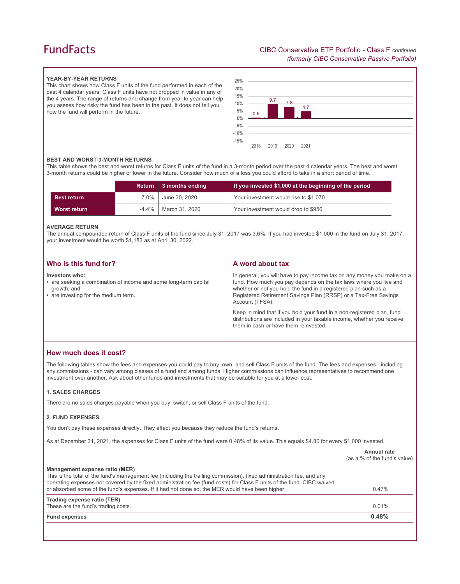# **FundFacts**

### **YEAR-BY-YEAR RETURNS**

This chart shows how Class F units of the fund performed in each of the past 4 calendar years. Class F units have not dropped in value in any of the 4 years. The range of returns and change from year to year can help you assess how risky the fund has been in the past. It does not tell you how the fund will perform in the future.



### **BEST AND WORST 3-MONTH RETURNS**

This table shows the best and worst returns for Class F units of the fund in a 3-month period over the past 4 calendar years. The best and worst 3-month returns could be higher or lower in the future. Consider how much of a loss you could afford to take in a short period of time.

|                    | <b>Return</b> | $\vert$ 3 months ending | If you invested \$1,000 at the beginning of the period |
|--------------------|---------------|-------------------------|--------------------------------------------------------|
| <b>Best return</b> | $7.0\%$       | June 30, 2020           | Your investment would rise to \$1,070                  |
| Worst return       | $-4.4\%$      | March 31, 2020          | Your investment would drop to \$956                    |

### **AVERAGE RETURN**

The annual compounded return of Class F units of the fund since July 31, 2017 was 3.6%. If you had invested \$1,000 in the fund on July 31, 2017, your investment would be worth \$1,182 as at April 30, 2022.

| Who is this fund for?                                                                                                                     | A word about tax                                                                                                                                                                                                                                                                                     |
|-------------------------------------------------------------------------------------------------------------------------------------------|------------------------------------------------------------------------------------------------------------------------------------------------------------------------------------------------------------------------------------------------------------------------------------------------------|
| Investors who:<br>• are seeking a combination of income and some long-term capital<br>growth; and<br>• are investing for the medium term. | In general, you will have to pay income tax on any money you make on a<br>fund. How much you pay depends on the tax laws where you live and<br>whether or not you hold the fund in a registered plan such as a<br>Registered Retirement Savings Plan (RRSP) or a Tax-Free Savings<br>Account (TFSA). |
|                                                                                                                                           | Keep in mind that if you hold your fund in a non-registered plan, fund<br>distributions are included in your taxable income, whether you receive<br>them in cash or have them reinvested.                                                                                                            |

## **How much does it cost?**

The following tables show the fees and expenses you could pay to buy, own, and sell Class F units of the fund. The fees and expenses - including any commissions - can vary among classes of a fund and among funds. Higher commissions can influence representatives to recommend one investment over another. Ask about other funds and investments that may be suitable for you at a lower cost.

### **1. SALES CHARGES**

There are no sales charges payable when you buy, switch, or sell Class F units of the fund.

### **2. FUND EXPENSES**

You don't pay these expenses directly. They affect you because they reduce the fund's returns.

As at December 31, 2021, the expenses for Class F units of the fund were 0.48% of its value. This equals \$4.80 for every \$1,000 invested.

|                                                                                                                                                                                                                                                                                                                                                                                      | Annual rate<br>(as a % of the fund's value) |
|--------------------------------------------------------------------------------------------------------------------------------------------------------------------------------------------------------------------------------------------------------------------------------------------------------------------------------------------------------------------------------------|---------------------------------------------|
| Management expense ratio (MER)<br>This is the total of the fund's management fee (including the trailing commission), fixed administration fee, and any<br>operating expenses not covered by the fixed administration fee (fund costs) for Class F units of the fund. CIBC waived<br>or absorbed some of the fund's expenses. If it had not done so, the MER would have been higher. | 0.47%                                       |
| Trading expense ratio (TER)<br>These are the fund's trading costs.                                                                                                                                                                                                                                                                                                                   | 0.01%                                       |
| <b>Fund expenses</b>                                                                                                                                                                                                                                                                                                                                                                 | 0.48%                                       |